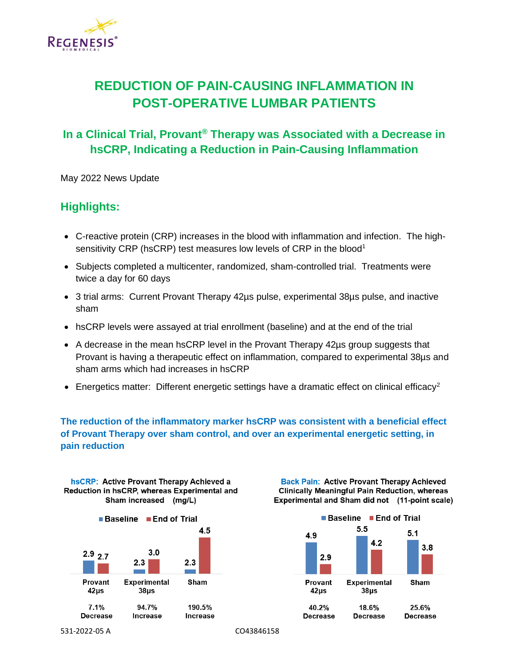

## **REDUCTION OF PAIN-CAUSING INFLAMMATION IN POST-OPERATIVE LUMBAR PATIENTS**

## **In a Clinical Trial, Provant® Therapy was Associated with a Decrease in hsCRP, Indicating a Reduction in Pain-Causing Inflammation**

May 2022 News Update

## **Highlights:**

- C-reactive protein (CRP) increases in the blood with inflammation and infection. The highsensitivity CRP (hsCRP) test measures low levels of CRP in the blood<sup>1</sup>
- Subjects completed a multicenter, randomized, sham-controlled trial. Treatments were twice a day for 60 days
- 3 trial arms: Current Provant Therapy 42µs pulse, experimental 38µs pulse, and inactive sham
- hsCRP levels were assayed at trial enrollment (baseline) and at the end of the trial
- A decrease in the mean hsCRP level in the Provant Therapy 42µs group suggests that Provant is having a therapeutic effect on inflammation, compared to experimental 38µs and sham arms which had increases in hsCRP
- Energetics matter: Different energetic settings have a dramatic effect on clinical efficacy<sup>2</sup>

## **The reduction of the inflammatory marker hsCRP was consistent with a beneficial effect of Provant Therapy over sham control, and over an experimental energetic setting, in pain reduction**



**Back Pain: Active Provant Therapy Achieved Clinically Meaningful Pain Reduction, whereas** Experimental and Sham did not (11-point scale)